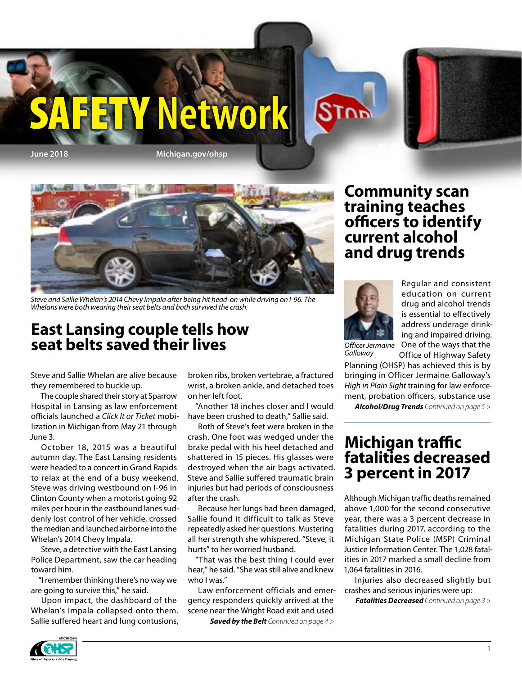



*Steve and Sallie Whelan's 2014 Chevy Impala after being hit head-on while driving on I-96. The Whelans were both wearing their seat belts and both survived the crash.*

#### **East Lansing couple tells how seat belts saved their lives**

Steve and Sallie Whelan are alive because they remembered to buckle up.

The couple shared their story at Sparrow Hospital in Lansing as law enforcement officials launched a *Click It or Ticket* mobilization in Michigan from May 21 through June 3.

October 18, 2015 was a beautiful autumn day. The East Lansing residents were headed to a concert in Grand Rapids to relax at the end of a busy weekend. Steve was driving westbound on I-96 in Clinton County when a motorist going 92 miles per hour in the eastbound lanes suddenly lost control of her vehicle, crossed the median and launched airborne into the Whelan's 2014 Chevy Impala.

Steve, a detective with the East Lansing Police Department, saw the car heading toward him.

"I remember thinking there's no way we are going to survive this," he said.

Upon impact, the dashboard of the Whelan's Impala collapsed onto them. Sallie suffered heart and lung contusions,

broken ribs, broken vertebrae, a fractured wrist, a broken ankle, and detached toes on her left foot.

"Another 18 inches closer and I would have been crushed to death," Sallie said.

Both of Steve's feet were broken in the crash. One foot was wedged under the brake pedal with his heel detached and shattered in 15 pieces. His glasses were destroyed when the air bags activated. Steve and Sallie suffered traumatic brain injuries but had periods of consciousness after the crash.

Because her lungs had been damaged, Sallie found it difficult to talk as Steve repeatedly asked her questions. Mustering all her strength she whispered, "Steve, it hurts" to her worried husband.

"That was the best thing I could ever hear," he said. "She was still alive and knew who I was."

Law enforcement officials and emergency responders quickly arrived at the scene near the Wright Road exit and used

*Saved by the Belt Continued on page 4 >*

#### **Community scan training teaches officers to identify current alcohol and drug trends**



Regular and consistent education on current drug and alcohol trends is essential to effectively address underage drinking and impaired driving. One of the ways that the

*Officer Jermaine Galloway*

Office of Highway Safety Planning (OHSP) has achieved this is by bringing in Officer Jermaine Galloway's *High in Plain Sight* training for law enforcement, probation officers, substance use

*Alcohol/Drug Trends Continued on page 5 >*

#### **Michigan traffic fatalities decreased 3 percent in 2017**

Although Michigan traffic deaths remained above 1,000 for the second consecutive year, there was a 3 percent decrease in fatalities during 2017, according to the Michigan State Police (MSP) Criminal Justice Information Center. The 1,028 fatalities in 2017 marked a small decline from 1,064 fatalities in 2016.

Injuries also decreased slightly but crashes and serious injuries were up:

*Fatalities Decreased Continued on page 3 >*

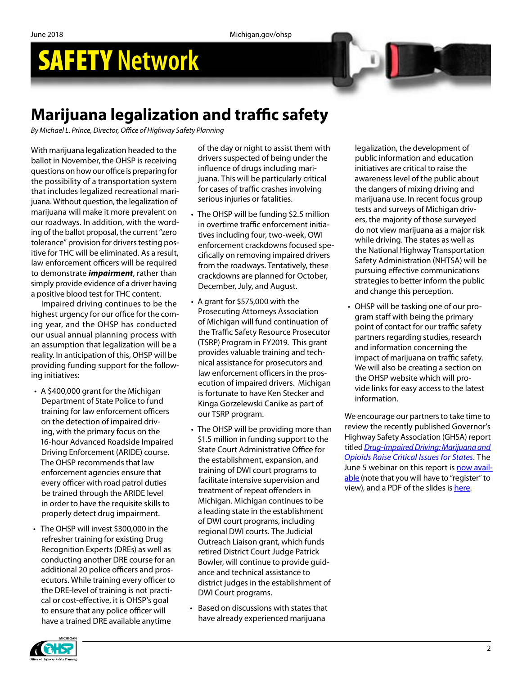### **[Marijuana legalization and traffic safety](http://coa.courts.mi.gov/court/judges/district/d4judges.htm#AK)**

*By Michael L. Prince, Director, Office of Highway Safety Planning*

With marijuana legalization headed to the ballot in November, the OHSP is receiving questions on how our office is preparing for the possibility of a transportation system that includes legalized recreational marijuana. Without question, the legalization of marijuana will make it more prevalent on our roadways. In addition, with the wording of the ballot proposal, the current "zero tolerance" provision for drivers testing positive for THC will be eliminated. As a result, law enforcement officers will be required to demonstrate *impairment*, rather than simply provide evidence of a driver having a positive blood test for THC content.

Impaired driving continues to be the highest urgency for our office for the coming year, and the OHSP has conducted our usual annual planning process with an assumption that legalization will be a reality. In anticipation of this, OHSP will be providing funding support for the following initiatives:

- A \$400,000 grant for the Michigan Department of State Police to fund training for law enforcement officers on the detection of impaired driving, with the primary focus on the 16-hour Advanced Roadside Impaired Driving Enforcement (ARIDE) course. The OHSP recommends that law enforcement agencies ensure that every officer with road patrol duties be trained through the ARIDE level in order to have the requisite skills to properly detect drug impairment.
- The OHSP will invest \$300,000 in the refresher training for existing Drug Recognition Experts (DREs) as well as conducting another DRE course for an additional 20 police officers and prosecutors. While training every officer to the DRE-level of training is not practical or cost-effective, it is OHSP's goal to ensure that any police officer will have a trained DRE available anytime

of the day or night to assist them with drivers suspected of being under the influence of drugs including marijuana. This will be particularly critical for cases of traffic crashes involving serious injuries or fatalities.

- The OHSP will be funding \$2.5 million in overtime traffic enforcement initiatives including four, two-week, OWI enforcement crackdowns focused specifically on removing impaired drivers from the roadways. Tentatively, these crackdowns are planned for October, December, July, and August.
- A grant for \$575,000 with the Prosecuting Attorneys Association of Michigan will fund continuation of the Traffic Safety Resource Prosecutor (TSRP) Program in FY2019. This grant provides valuable training and technical assistance for prosecutors and law enforcement officers in the prosecution of impaired drivers. Michigan is fortunate to have Ken Stecker and Kinga Gorzelewski Canike as part of our TSRP program.
- The OHSP will be providing more than \$1.5 million in funding support to the State Court Administrative Office for the establishment, expansion, and training of DWI court programs to facilitate intensive supervision and treatment of repeat offenders in Michigan. Michigan continues to be a leading state in the establishment of DWI court programs, including regional DWI courts. The Judicial Outreach Liaison grant, which funds retired District Court Judge Patrick Bowler, will continue to provide guidance and technical assistance to district judges in the establishment of DWI Court programs.
- Based on discussions with states that have already experienced marijuana

legalization, the development of public information and education initiatives are critical to raise the awareness level of the public about the dangers of mixing driving and marijuana use. In recent focus group tests and surveys of Michigan drivers, the majority of those surveyed do not view marijuana as a major risk while driving. The states as well as the National Highway Transportation Safety Administration (NHTSA) will be pursuing effective communications strategies to better inform the public and change this perception.

• OHSP will be tasking one of our program staff with being the primary point of contact for our traffic safety partners regarding studies, research and information concerning the impact of marijuana on traffic safety. We will also be creating a section on the OHSP website which will provide links for easy access to the latest information.

We encourage our partners to take time to review the recently published Governor's Highway Safety Association (GHSA) report titled *[Drug-Impaired Driving: Marijuana and](https://www.ghsa.org/resources/DUID18)  [Opioids Raise Critical Issues for States](https://www.ghsa.org/resources/DUID18)*. The June 5 webinar on this report is [now avail](https://attendee.gotowebinar.com/register/4158804166949353985)[able](https://attendee.gotowebinar.com/register/4158804166949353985) (note that you will have to "register" to view), and a PDF of the slides is [here.](https://www.ghsa.org/sites/default/files/2018-06/060518_duid.pdf)

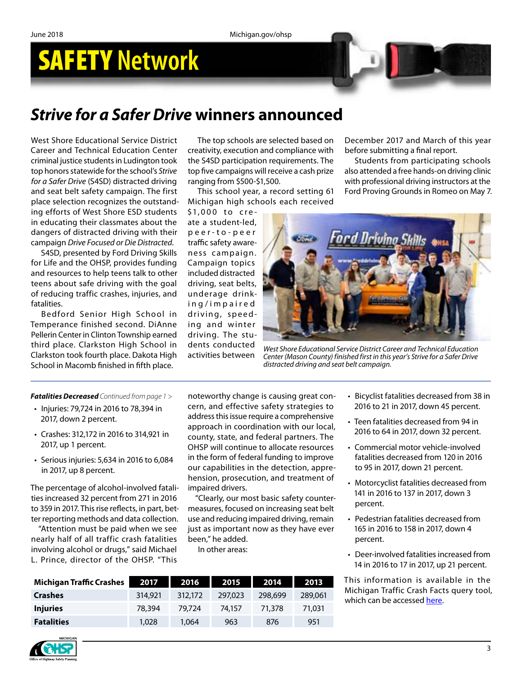### *Strive for a Safer Drive* **winners announced**

West Shore Educational Service District Career and Technical Education Center criminal justice students in Ludington took top honors statewide for the school's *Strive for a Safer Drive* (S4SD) distracted driving and seat belt safety campaign. The first place selection recognizes the outstanding efforts of West Shore ESD students in educating their classmates about the dangers of distracted driving with their campaign *Drive Focused or Die Distracted*.

S4SD, presented by Ford Driving Skills for Life and the OHSP, provides funding and resources to help teens talk to other teens about safe driving with the goal of reducing traffic crashes, injuries, and fatalities.

Bedford Senior High School in Temperance finished second. DiAnne Pellerin Center in Clinton Township earned third place. Clarkston High School in Clarkston took fourth place. Dakota High School in Macomb finished in fifth place.

The top schools are selected based on creativity, execution and compliance with the S4SD participation requirements. The top five campaigns will receive a cash prize ranging from \$500-\$1,500.

This school year, a record setting 61 Michigan high schools each received

\$1,000 to cre ate a student-led, p e e r - t o - p e e r traffic safety awareness campaign. Campaign topics included distracted driving, seat belts, underage drinki n g / i m p a i r e d driving, speeding and winter driving. The students conducted activities between

December 2017 and March of this year before submitting a final report.

Students from participating schools also attended a free hands-on driving clinic with professional driving instructors at the Ford Proving Grounds in Romeo on May 7.



*West Shore Educational Service District Career and Technical Education Center (Mason County) finished first in this year's Strive for a Safer Drive distracted driving and seat belt campaign.*

#### *Fatalities Decreased Continued from page 1 >*

- Injuries: 79,724 in 2016 to 78,394 in 2017, down 2 percent.
- Crashes: 312,172 in 2016 to 314,921 in 2017, up 1 percent.
- Serious injuries: 5,634 in 2016 to 6,084 in 2017, up 8 percent.

The percentage of alcohol-involved fatalities increased 32 percent from 271 in 2016 to 359 in 2017. This rise reflects, in part, better reporting methods and data collection.

"Attention must be paid when we see nearly half of all traffic crash fatalities involving alcohol or drugs," said Michael L. Prince, director of the OHSP. "This

noteworthy change is causing great concern, and effective safety strategies to address this issue require a comprehensive approach in coordination with our local, county, state, and federal partners. The OHSP will continue to allocate resources in the form of federal funding to improve our capabilities in the detection, apprehension, prosecution, and treatment of impaired drivers.

"Clearly, our most basic safety countermeasures, focused on increasing seat belt use and reducing impaired driving, remain just as important now as they have ever been," he added.

In other areas:

| <b>Michigan Traffic Crashes</b> | 2017    | 2016    | 2015    | 2014    | 2013    |
|---------------------------------|---------|---------|---------|---------|---------|
| <b>Crashes</b>                  | 314,921 | 312,172 | 297,023 | 298,699 | 289,061 |
| <b>Injuries</b>                 | 78,394  | 79.724  | 74.157  | 71.378  | 71,031  |
| <b>Fatalities</b>               | 1.028   | 1.064   | 963     | 876     | 951     |

- Bicyclist fatalities decreased from 38 in 2016 to 21 in 2017, down 45 percent.
- Teen fatalities decreased from 94 in 2016 to 64 in 2017, down 32 percent.
- Commercial motor vehicle-involved fatalities decreased from 120 in 2016 to 95 in 2017, down 21 percent.
- Motorcyclist fatalities decreased from 141 in 2016 to 137 in 2017, down 3 percent.
- Pedestrian fatalities decreased from 165 in 2016 to 158 in 2017, down 4 percent.
- Deer-involved fatalities increased from 14 in 2016 to 17 in 2017, up 21 percent.

This information is available in the Michigan Traffic Crash Facts query tool, which can be accessed [here.](https://www.michigantrafficcrashfacts.org/querytool#q1;0;2017;;)

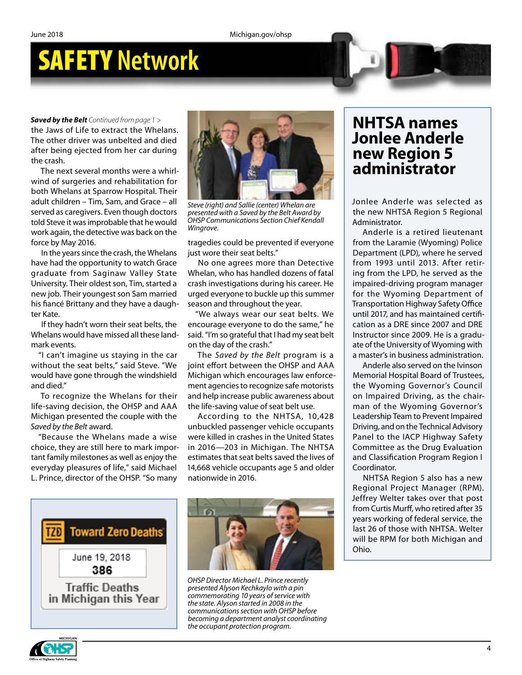the Jaws of Life to extract the Whelans. The other driver was unbelted and died after being ejected from her car during the crash.

The next several months were a whirlwind of surgeries and rehabilitation for both Whelans at Sparrow Hospital. Their adult children – Tim, Sam, and Grace – all served as caregivers. Even though doctors told Steve it was improbable that he would work again, the detective was back on the force by May 2016.

In the years since the crash, the Whelans have had the opportunity to watch Grace graduate from Saginaw Valley State University. Their oldest son, Tim, started a new job. Their youngest son Sam married his fiancé Brittany and they have a daughter Kate.

If they hadn't worn their seat belts, the Whelans would have missed all these landmark events.

"I can't imagine us staying in the car without the seat belts," said Steve. "We would have gone through the windshield and died."

To recognize the Whelans for their life-saving decision, the OHSP and AAA Michigan presented the couple with the *Saved by the Belt* award.

"Because the Whelans made a wise choice, they are still here to mark important family milestones as well as enjoy the everyday pleasures of life," said Michael L. Prince, director of the OHSP. "So many



*Steve (right) and Sallie (center) Whelan are presented with a Saved by the Belt Award by OHSP Communications Section Chief Kendall Wingrove.*

tragedies could be prevented if everyone just wore their seat belts."

No one agrees more than Detective Whelan, who has handled dozens of fatal crash investigations during his career. He urged everyone to buckle up this summer season and throughout the year.

"We always wear our seat belts. We encourage everyone to do the same," he said. "I'm so grateful that I had my seat belt on the day of the crash."

The *Saved by the Belt* program is a joint effort between the OHSP and AAA Michigan which encourages law enforcement agencies to recognize safe motorists and help increase public awareness about the life-saving value of seat belt use.

According to the NHTSA, 10,428 unbuckled passenger vehicle occupants were killed in crashes in the United States in 2016—203 in Michigan. The NHTSA estimates that seat belts saved the lives of 14,668 vehicle occupants age 5 and older nationwide in 2016.





*OHSP Director Michael L. Prince recently presented Alyson Kechkaylo with a pin commemorating 10 years of service with the state. Alyson started in 2008 in the communications section with OHSP before becoming a department analyst coordinating the occupant protection program.*

### **Jonlee Anderle new Region 5 administrator**

Jonlee Anderle was selected as the new NHTSA Region 5 Regional Administrator.

Anderle is a retired lieutenant from the Laramie (Wyoming) Police Department (LPD), where he served from 1993 until 2013. After retiring from the LPD, he served as the impaired-driving program manager for the Wyoming Department of Transportation Highway Safety Office until 2017, and has maintained certification as a DRE since 2007 and DRE Instructor since 2009. He is a graduate of the University of Wyoming with a master's in business administration.

Anderle also served on the Ivinson Memorial Hospital Board of Trustees, the Wyoming Governor's Council on Impaired Driving, as the chairman of the Wyoming Governor's Leadership Team to Prevent Impaired Driving, and on the Technical Advisory Panel to the IACP Highway Safety Committee as the Drug Evaluation and Classification Program Region I Coordinator.

NHTSA Region 5 also has a new Regional Project Manager (RPM). Jeffrey Welter takes over that post from Curtis Murff, who retired after 35 years working of federal service, the last 26 of those with NHTSA. Welter will be RPM for both Michigan and Ohio.

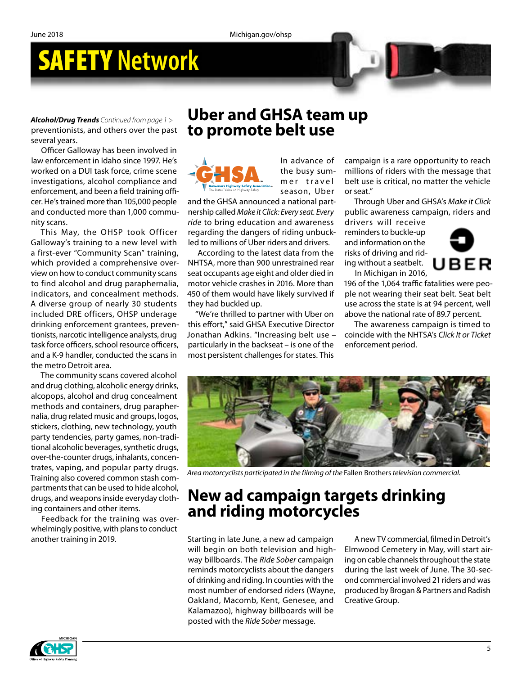*Alcohol/Drug Trends Continued from page 1 >* preventionists, and others over the past several years.

Officer Galloway has been involved in law enforcement in Idaho since 1997. He's worked on a DUI task force, crime scene investigations, alcohol compliance and enforcement, and been a field training officer. He's trained more than 105,000 people and conducted more than 1,000 community scans.

This May, the OHSP took Officer Galloway's training to a new level with a first-ever "Community Scan" training, which provided a comprehensive overview on how to conduct community scans to find alcohol and drug paraphernalia, indicators, and concealment methods. A diverse group of nearly 30 students included DRE officers, OHSP underage drinking enforcement grantees, preventionists, narcotic intelligence analysts, drug task force officers, school resource officers, and a K-9 handler, conducted the scans in the metro Detroit area.

The community scans covered alcohol and drug clothing, alcoholic energy drinks, alcopops, alcohol and drug concealment methods and containers, drug paraphernalia, drug related music and groups, logos, stickers, clothing, new technology, youth party tendencies, party games, non-traditional alcoholic beverages, synthetic drugs, over-the-counter drugs, inhalants, concentrates, vaping, and popular party drugs. Training also covered common stash compartments that can be used to hide alcohol, drugs, and weapons inside everyday clothing containers and other items.

Feedback for the training was overwhelmingly positive, with plans to conduct another training in 2019.

#### **Uber and GHSA team up to promote belt use**



In advance of the busy summer travel season, Uber

and the GHSA announced a national partnership called *Make it Click: Every seat. Every ride* to bring education and awareness regarding the dangers of riding unbuckled to millions of Uber riders and drivers.

According to the latest data from the NHTSA, more than 900 unrestrained rear seat occupants age eight and older died in motor vehicle crashes in 2016. More than 450 of them would have likely survived if they had buckled up.

"We're thrilled to partner with Uber on this effort," said GHSA Executive Director Jonathan Adkins. "Increasing belt use – particularly in the backseat – is one of the most persistent challenges for states. This

campaign is a rare opportunity to reach millions of riders with the message that belt use is critical, no matter the vehicle or seat."

Through Uber and GHSA's *Make it Click* public awareness campaign, riders and drivers will receive

reminders to buckle-up and information on the risks of driving and riding without a seatbelt. In Michigan in 2016,



196 of the 1,064 traffic fatalities were people not wearing their seat belt. Seat belt use across the state is at 94 percent, well above the national rate of 89.7 percent.

The awareness campaign is timed to coincide with the NHTSA's *Click It or Ticket* enforcement period.



*Area motorcyclists participated in the filming of the* Fallen Brothers *television commercial.*

#### **New ad campaign targets drinking and riding motorcycles**

Starting in late June, a new ad campaign will begin on both television and highway billboards. The *Ride Sober* campaign reminds motorcyclists about the dangers of drinking and riding. In counties with the most number of endorsed riders (Wayne, Oakland, Macomb, Kent, Genesee, and Kalamazoo), highway billboards will be posted with the *Ride Sober* message.

A new TV commercial, filmed in Detroit's Elmwood Cemetery in May, will start airing on cable channels throughout the state during the last week of June. The 30-second commercial involved 21 riders and was produced by Brogan & Partners and Radish Creative Group.

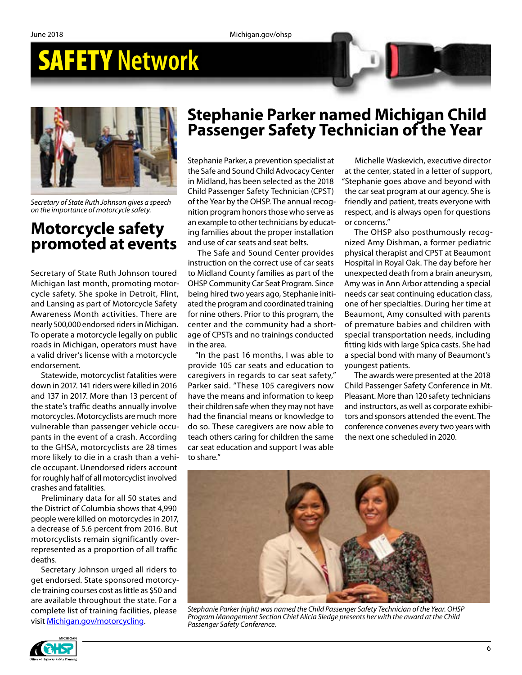

*Secretary of State Ruth Johnson gives a speech on the importance of motorcycle safety.*

#### **Motorcycle safety promoted at events**

Secretary of State Ruth Johnson toured Michigan last month, promoting motorcycle safety. She spoke in Detroit, Flint, and Lansing as part of Motorcycle Safety Awareness Month activities. There are nearly 500,000 endorsed riders in Michigan. To operate a motorcycle legally on public roads in Michigan, operators must have a valid driver's license with a motorcycle endorsement.

Statewide, motorcyclist fatalities were down in 2017. 141 riders were killed in 2016 and 137 in 2017. More than 13 percent of the state's traffic deaths annually involve motorcycles. Motorcyclists are much more vulnerable than passenger vehicle occupants in the event of a crash. According to the GHSA, motorcyclists are 28 times more likely to die in a crash than a vehicle occupant. Unendorsed riders account for roughly half of all motorcyclist involved crashes and fatalities.

Preliminary data for all 50 states and the District of Columbia shows that 4,990 people were killed on motorcycles in 2017, a decrease of 5.6 percent from 2016. But motorcyclists remain significantly overrepresented as a proportion of all traffic deaths.

Secretary Johnson urged all riders to get endorsed. State sponsored motorcycle training courses cost as little as \$50 and are available throughout the state. For a complete list of training facilities, please visit [Michigan.gov/motorcycling.](http://Michigan.gov/motorcycling)

#### **Stephanie Parker named Michigan Child Passenger Safety Technician of the Year**

Stephanie Parker, a prevention specialist at the Safe and Sound Child Advocacy Center in Midland, has been selected as the 2018 Child Passenger Safety Technician (CPST) of the Year by the OHSP. The annual recognition program honors those who serve as an example to other technicians by educating families about the proper installation and use of car seats and seat belts.

The Safe and Sound Center provides instruction on the correct use of car seats to Midland County families as part of the OHSP Community Car Seat Program. Since being hired two years ago, Stephanie initiated the program and coordinated training for nine others. Prior to this program, the center and the community had a shortage of CPSTs and no trainings conducted in the area.

"In the past 16 months, I was able to provide 105 car seats and education to caregivers in regards to car seat safety," Parker said. "These 105 caregivers now have the means and information to keep their children safe when they may not have had the financial means or knowledge to do so. These caregivers are now able to teach others caring for children the same car seat education and support I was able to share."

Michelle Waskevich, executive director at the center, stated in a letter of support, "Stephanie goes above and beyond with the car seat program at our agency. She is friendly and patient, treats everyone with respect, and is always open for questions or concerns."

The OHSP also posthumously recognized Amy Dishman, a former pediatric physical therapist and CPST at Beaumont Hospital in Royal Oak. The day before her unexpected death from a brain aneurysm, Amy was in Ann Arbor attending a special needs car seat continuing education class, one of her specialties. During her time at Beaumont, Amy consulted with parents of premature babies and children with special transportation needs, including fitting kids with large Spica casts. She had a special bond with many of Beaumont's youngest patients.

The awards were presented at the 2018 Child Passenger Safety Conference in Mt. Pleasant. More than 120 safety technicians and instructors, as well as corporate exhibitors and sponsors attended the event. The conference convenes every two years with the next one scheduled in 2020.



*Stephanie Parker (right) was named the Child Passenger Safety Technician of the Year. OHSP Program Management Section Chief Alicia Sledge presents her with the award at the Child Passenger Safety Conference.*

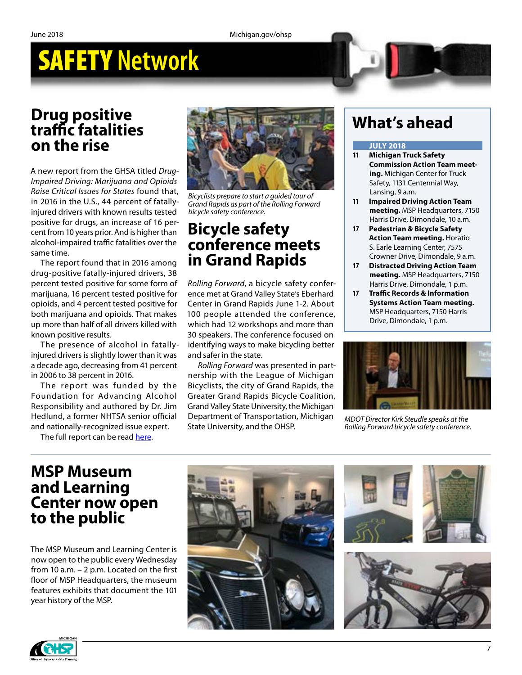#### **Drug positive traffic fatalities on the rise**

A new report from the GHSA titled *Drug-Impaired Driving: Marijuana and Opioids Raise Critical Issues for States* found that, in 2016 in the U.S., 44 percent of fatallyinjured drivers with known results tested positive for drugs, an increase of 16 percent from 10 years prior. And is higher than alcohol-impaired traffic fatalities over the same time.

The report found that in 2016 among drug-positive fatally-injured drivers, 38 percent tested positive for some form of marijuana, 16 percent tested positive for opioids, and 4 percent tested positive for both marijuana and opioids. That makes up more than half of all drivers killed with known positive results.

The presence of alcohol in fatallyinjured drivers is slightly lower than it was a decade ago, decreasing from 41 percent in 2006 to 38 percent in 2016.

The report was funded by the Foundation for Advancing Alcohol Responsibility and authored by Dr. Jim Hedlund, a former NHTSA senior official and nationally-recognized issue expert.

The full report can be read [here.](https://www.ghsa.org/resources/DUID18)



*Bicyclists prepare to start a guided tour of Grand Rapids as part of the Rolling Forward bicycle safety conference.*

#### **Bicycle safety conference meets in Grand Rapids**

*Rolling Forward*, a bicycle safety conference met at Grand Valley State's Eberhard Center in Grand Rapids June 1-2. About 100 people attended the conference, which had 12 workshops and more than 30 speakers. The conference focused on identifying ways to make bicycling better and safer in the state.

*Rolling Forward* was presented in partnership with the League of Michigan Bicyclists, the city of Grand Rapids, the Greater Grand Rapids Bicycle Coalition, Grand Valley State University, the Michigan Department of Transportation, Michigan State University, and the OHSP.

### **What's ahead**

#### **JULY 2018**

- **11 Michigan Truck Safety Commission Action Team meeting.** Michigan Center for Truck Safety, 1131 Centennial Way, Lansing, 9 a.m.
- **11 Impaired Driving Action Team meeting.** MSP Headquarters, 7150 Harris Drive, Dimondale, 10 a.m.
- **17 Pedestrian & Bicycle Safety Action Team meeting.** Horatio S. Earle Learning Center, 7575 Crowner Drive, Dimondale, 9 a.m.
- **17 Distracted Driving Action Team meeting.** MSP Headquarters, 7150 Harris Drive, Dimondale, 1 p.m.
- **17 Traffic Records & Information Systems Action Team meeting.** MSP Headquarters, 7150 Harris Drive, Dimondale, 1 p.m.



*MDOT Director Kirk Steudle speaks at the Rolling Forward bicycle safety conference.*

#### **MSP Museum and Learning Center now open to the public**

The MSP Museum and Learning Center is now open to the public every Wednesday from 10 a.m. – 2 p.m. Located on the first floor of MSP Headquarters, the museum features exhibits that document the 101 year history of the MSP.